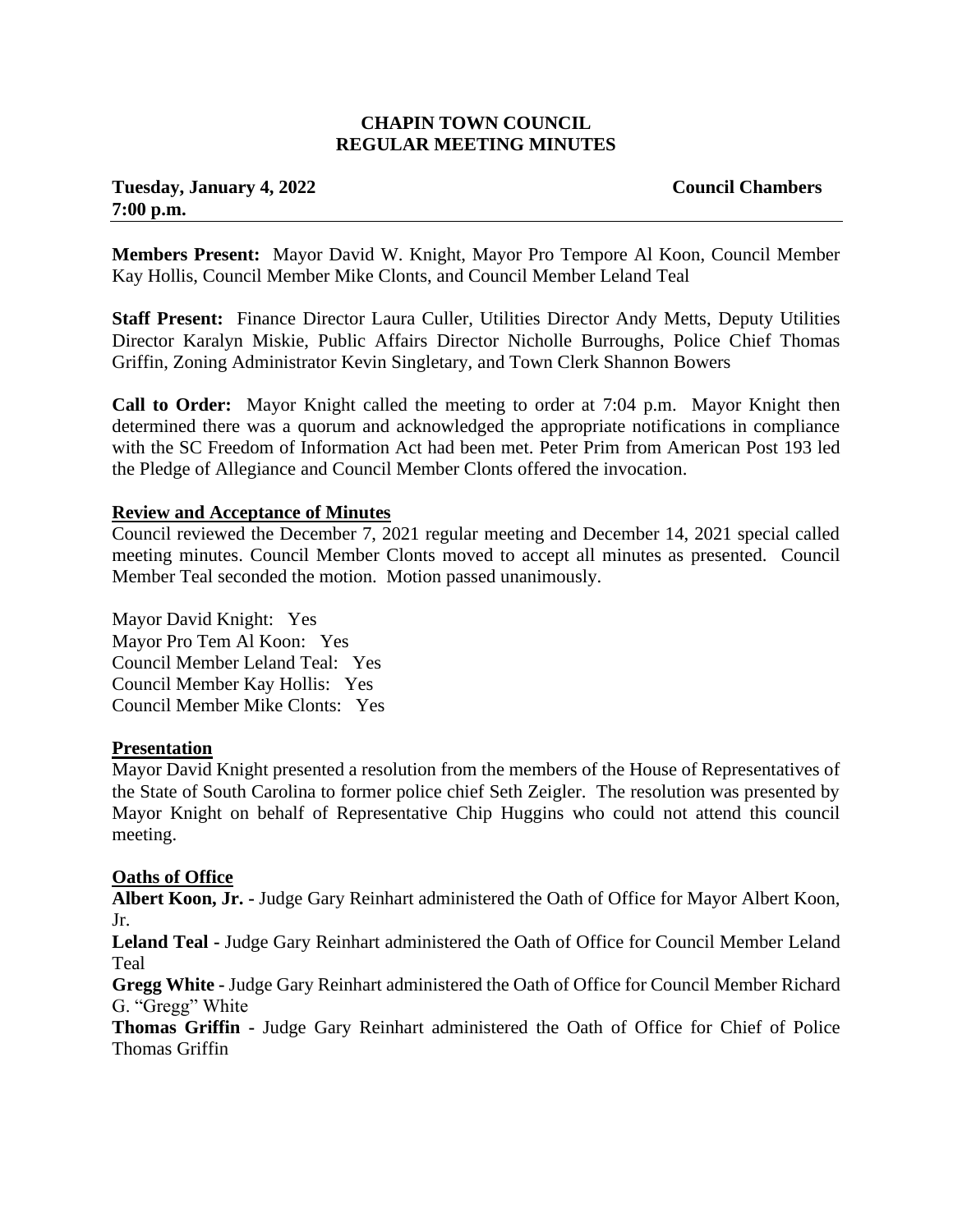#### **CHAPIN TOWN COUNCIL REGULAR MEETING MINUTES**

# **Tuesday, January 4, 2022 Council Chambers 7:00 p.m.**

**Members Present:** Mayor David W. Knight, Mayor Pro Tempore Al Koon, Council Member Kay Hollis, Council Member Mike Clonts, and Council Member Leland Teal

**Staff Present:** Finance Director Laura Culler, Utilities Director Andy Metts, Deputy Utilities Director Karalyn Miskie, Public Affairs Director Nicholle Burroughs, Police Chief Thomas Griffin, Zoning Administrator Kevin Singletary, and Town Clerk Shannon Bowers

**Call to Order:** Mayor Knight called the meeting to order at 7:04 p.m. Mayor Knight then determined there was a quorum and acknowledged the appropriate notifications in compliance with the SC Freedom of Information Act had been met. Peter Prim from American Post 193 led the Pledge of Allegiance and Council Member Clonts offered the invocation.

#### **Review and Acceptance of Minutes**

Council reviewed the December 7, 2021 regular meeting and December 14, 2021 special called meeting minutes. Council Member Clonts moved to accept all minutes as presented. Council Member Teal seconded the motion. Motion passed unanimously.

Mayor David Knight: Yes Mayor Pro Tem Al Koon: Yes Council Member Leland Teal: Yes Council Member Kay Hollis: Yes Council Member Mike Clonts: Yes

#### **Presentation**

Mayor David Knight presented a resolution from the members of the House of Representatives of the State of South Carolina to former police chief Seth Zeigler. The resolution was presented by Mayor Knight on behalf of Representative Chip Huggins who could not attend this council meeting.

#### **Oaths of Office**

**Albert Koon, Jr. -** Judge Gary Reinhart administered the Oath of Office for Mayor Albert Koon, Jr.

**Leland Teal -** Judge Gary Reinhart administered the Oath of Office for Council Member Leland Teal

**Gregg White -** Judge Gary Reinhart administered the Oath of Office for Council Member Richard G. "Gregg" White

**Thomas Griffin -** Judge Gary Reinhart administered the Oath of Office for Chief of Police Thomas Griffin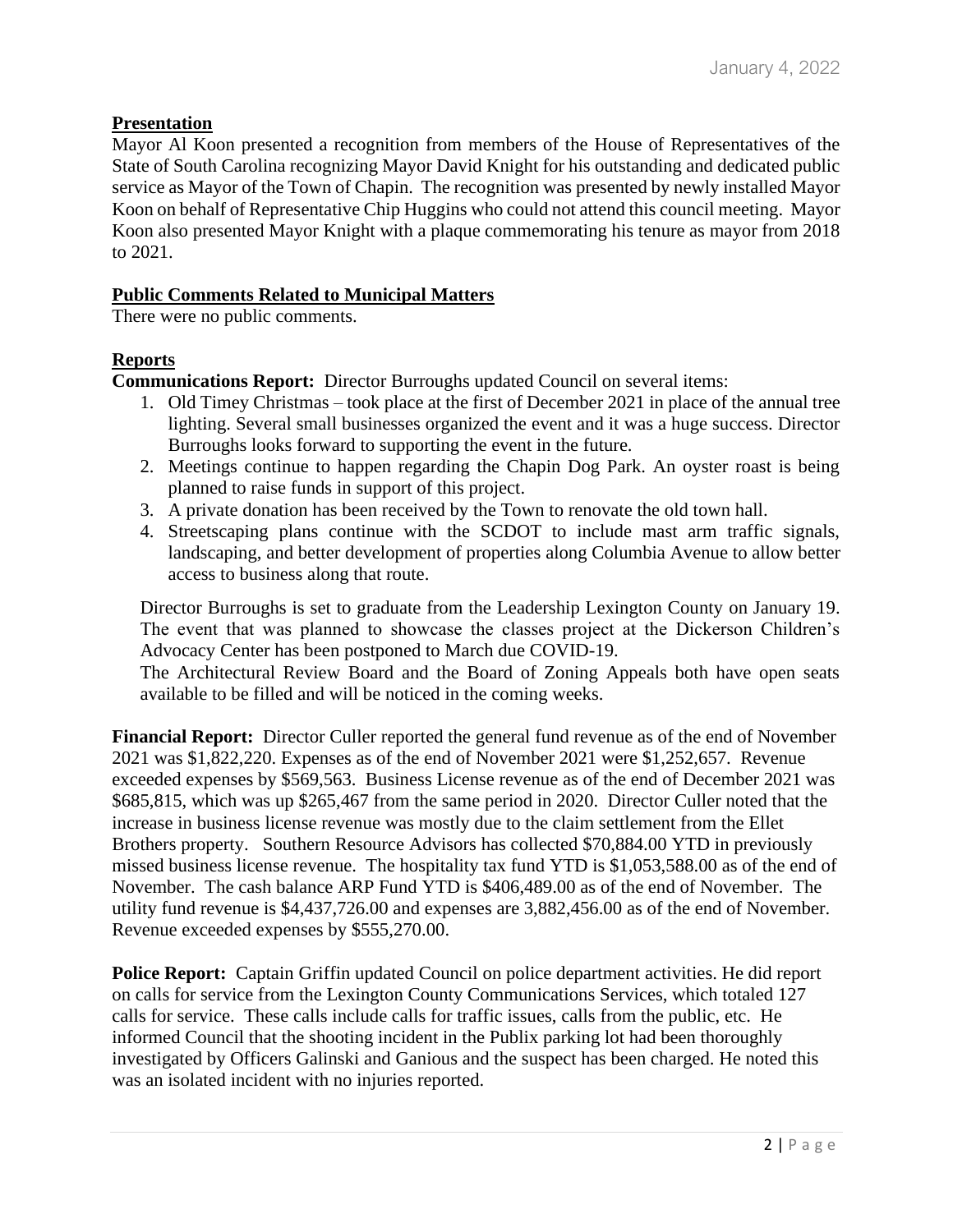# **Presentation**

Mayor Al Koon presented a recognition from members of the House of Representatives of the State of South Carolina recognizing Mayor David Knight for his outstanding and dedicated public service as Mayor of the Town of Chapin. The recognition was presented by newly installed Mayor Koon on behalf of Representative Chip Huggins who could not attend this council meeting. Mayor Koon also presented Mayor Knight with a plaque commemorating his tenure as mayor from 2018 to 2021.

### **Public Comments Related to Municipal Matters**

There were no public comments.

## **Reports**

**Communications Report:** Director Burroughs updated Council on several items:

- 1. Old Timey Christmas took place at the first of December 2021 in place of the annual tree lighting. Several small businesses organized the event and it was a huge success. Director Burroughs looks forward to supporting the event in the future.
- 2. Meetings continue to happen regarding the Chapin Dog Park. An oyster roast is being planned to raise funds in support of this project.
- 3. A private donation has been received by the Town to renovate the old town hall.
- 4. Streetscaping plans continue with the SCDOT to include mast arm traffic signals, landscaping, and better development of properties along Columbia Avenue to allow better access to business along that route.

Director Burroughs is set to graduate from the Leadership Lexington County on January 19. The event that was planned to showcase the classes project at the Dickerson Children's Advocacy Center has been postponed to March due COVID-19.

The Architectural Review Board and the Board of Zoning Appeals both have open seats available to be filled and will be noticed in the coming weeks.

**Financial Report:** Director Culler reported the general fund revenue as of the end of November 2021 was \$1,822,220. Expenses as of the end of November 2021 were \$1,252,657. Revenue exceeded expenses by \$569,563. Business License revenue as of the end of December 2021 was \$685,815, which was up \$265,467 from the same period in 2020. Director Culler noted that the increase in business license revenue was mostly due to the claim settlement from the Ellet Brothers property. Southern Resource Advisors has collected \$70,884.00 YTD in previously missed business license revenue. The hospitality tax fund YTD is \$1,053,588.00 as of the end of November. The cash balance ARP Fund YTD is \$406,489.00 as of the end of November. The utility fund revenue is \$4,437,726.00 and expenses are 3,882,456.00 as of the end of November. Revenue exceeded expenses by \$555,270.00.

**Police Report:** Captain Griffin updated Council on police department activities. He did report on calls for service from the Lexington County Communications Services, which totaled 127 calls for service. These calls include calls for traffic issues, calls from the public, etc. He informed Council that the shooting incident in the Publix parking lot had been thoroughly investigated by Officers Galinski and Ganious and the suspect has been charged. He noted this was an isolated incident with no injuries reported.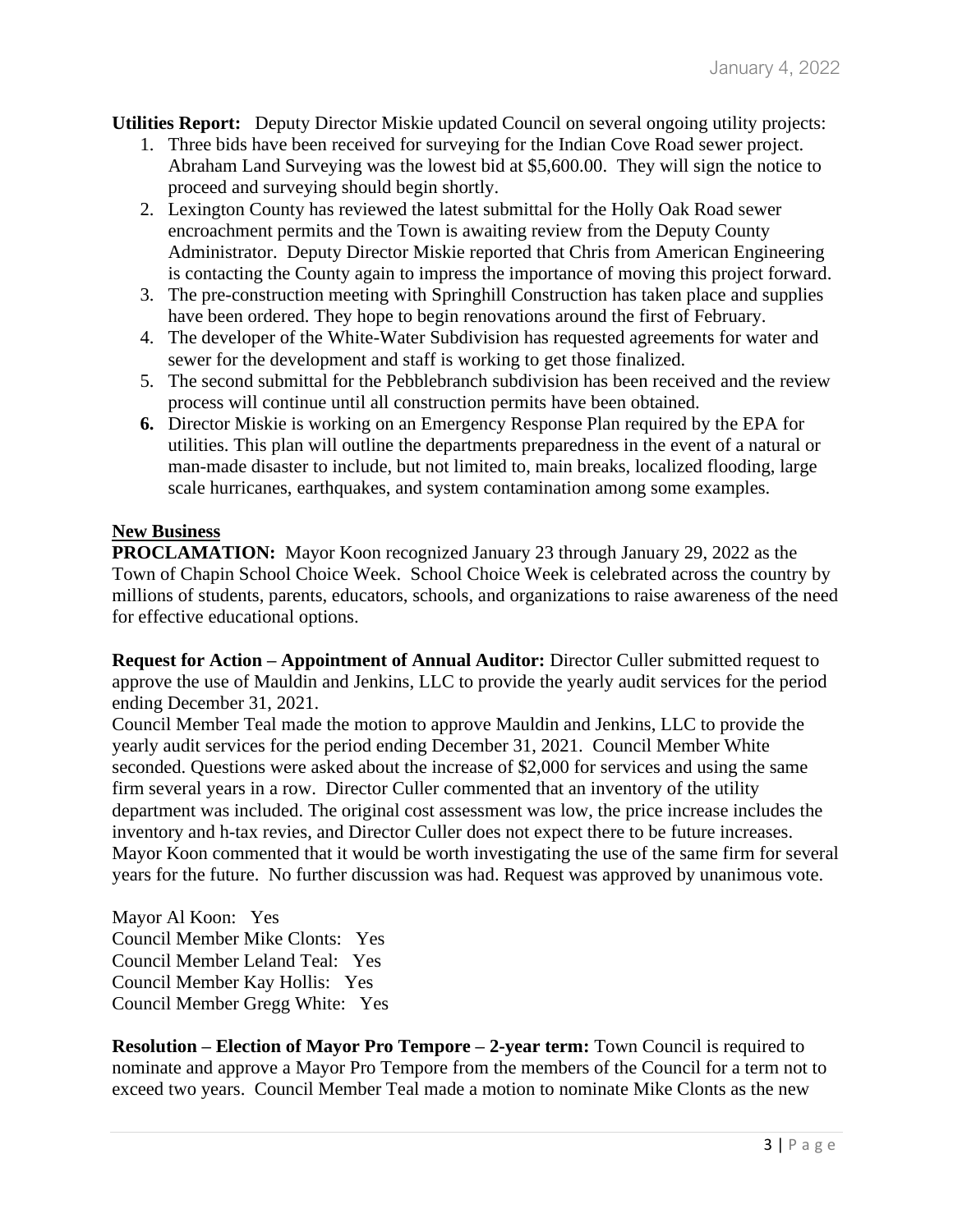**Utilities Report:** Deputy Director Miskie updated Council on several ongoing utility projects:

- 1. Three bids have been received for surveying for the Indian Cove Road sewer project. Abraham Land Surveying was the lowest bid at \$5,600.00. They will sign the notice to proceed and surveying should begin shortly.
- 2. Lexington County has reviewed the latest submittal for the Holly Oak Road sewer encroachment permits and the Town is awaiting review from the Deputy County Administrator. Deputy Director Miskie reported that Chris from American Engineering is contacting the County again to impress the importance of moving this project forward.
- 3. The pre-construction meeting with Springhill Construction has taken place and supplies have been ordered. They hope to begin renovations around the first of February.
- 4. The developer of the White-Water Subdivision has requested agreements for water and sewer for the development and staff is working to get those finalized.
- 5. The second submittal for the Pebblebranch subdivision has been received and the review process will continue until all construction permits have been obtained.
- **6.** Director Miskie is working on an Emergency Response Plan required by the EPA for utilities. This plan will outline the departments preparedness in the event of a natural or man-made disaster to include, but not limited to, main breaks, localized flooding, large scale hurricanes, earthquakes, and system contamination among some examples.

## **New Business**

**PROCLAMATION:** Mayor Koon recognized January 23 through January 29, 2022 as the Town of Chapin School Choice Week. School Choice Week is celebrated across the country by millions of students, parents, educators, schools, and organizations to raise awareness of the need for effective educational options.

**Request for Action – Appointment of Annual Auditor:** Director Culler submitted request to approve the use of Mauldin and Jenkins, LLC to provide the yearly audit services for the period ending December 31, 2021.

Council Member Teal made the motion to approve Mauldin and Jenkins, LLC to provide the yearly audit services for the period ending December 31, 2021. Council Member White seconded. Questions were asked about the increase of \$2,000 for services and using the same firm several years in a row. Director Culler commented that an inventory of the utility department was included. The original cost assessment was low, the price increase includes the inventory and h-tax revies, and Director Culler does not expect there to be future increases. Mayor Koon commented that it would be worth investigating the use of the same firm for several years for the future. No further discussion was had. Request was approved by unanimous vote.

Mayor Al Koon: Yes Council Member Mike Clonts: Yes Council Member Leland Teal: Yes Council Member Kay Hollis: Yes Council Member Gregg White: Yes

**Resolution – Election of Mayor Pro Tempore – 2-year term:** Town Council is required to nominate and approve a Mayor Pro Tempore from the members of the Council for a term not to exceed two years. Council Member Teal made a motion to nominate Mike Clonts as the new